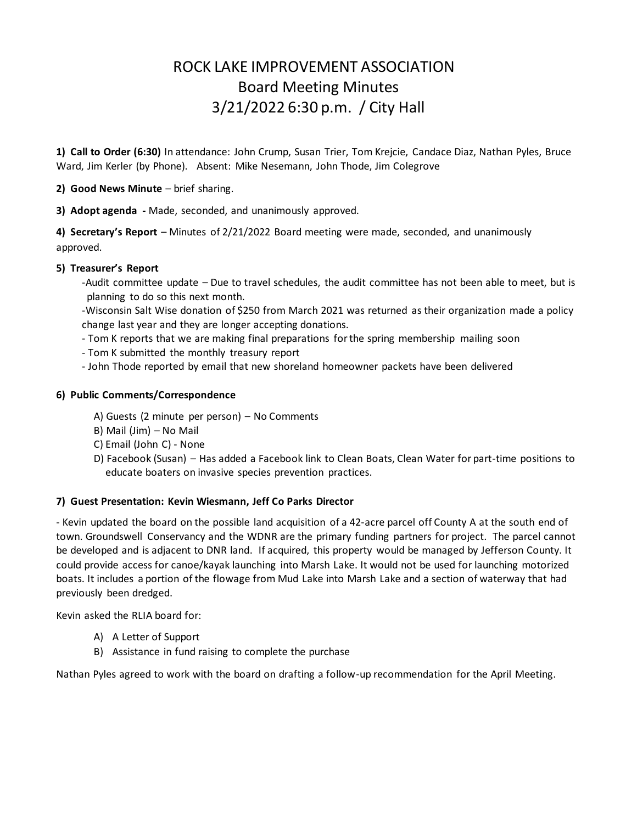# ROCK LAKE IMPROVEMENT ASSOCIATION Board Meeting Minutes 3/21/2022 6:30 p.m. / City Hall

**1) Call to Order (6:30)** In attendance: John Crump, Susan Trier, Tom Krejcie, Candace Diaz, Nathan Pyles, Bruce Ward, Jim Kerler (by Phone). Absent: Mike Nesemann, John Thode, Jim Colegrove

**2) Good News Minute** – brief sharing.

**3) Adopt agenda -** Made, seconded, and unanimously approved.

**4) Secretary's Report** – Minutes of 2/21/2022 Board meeting were made, seconded, and unanimously approved.

## **5) Treasurer's Report**

-Audit committee update – Due to travel schedules, the audit committee has not been able to meet, but is planning to do so this next month.

-Wisconsin Salt Wise donation of \$250 from March 2021 was returned as their organization made a policy change last year and they are longer accepting donations.

- Tom K reports that we are making final preparations for the spring membership mailing soon
- Tom K submitted the monthly treasury report
- John Thode reported by email that new shoreland homeowner packets have been delivered

## **6) Public Comments/Correspondence**

- A) Guests (2 minute per person) No Comments
- B) Mail (Jim) No Mail
- C) Email (John C) None
- D) Facebook (Susan) Has added a Facebook link to Clean Boats, Clean Water for part-time positions to educate boaters on invasive species prevention practices.

## **7) Guest Presentation: Kevin Wiesmann, Jeff Co Parks Director**

- Kevin updated the board on the possible land acquisition of a 42-acre parcel off County A at the south end of town. Groundswell Conservancy and the WDNR are the primary funding partners for project. The parcel cannot be developed and is adjacent to DNR land. If acquired, this property would be managed by Jefferson County. It could provide access for canoe/kayak launching into Marsh Lake. It would not be used for launching motorized boats. It includes a portion of the flowage from Mud Lake into Marsh Lake and a section of waterway that had previously been dredged.

Kevin asked the RLIA board for:

- A) A Letter of Support
- B) Assistance in fund raising to complete the purchase

Nathan Pyles agreed to work with the board on drafting a follow-up recommendation for the April Meeting.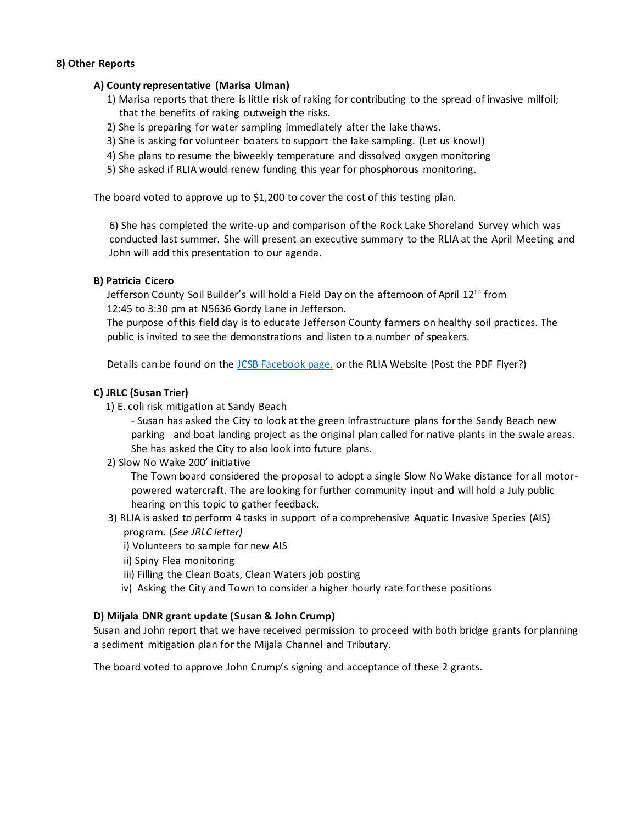## **8) Other Reports**

### **A) County representative (Marisa Ulman)**

- 1) Marisa reports that there is little risk of raking for contributing to the spread of invasive milfoil; that the benefits of raking outweigh the risks.
- 2) She is preparing for water sampling immediately after the lake thaws.
- 3) She is asking for volunteer boaters to support the lake sampling. (Let us know!)
- 4) She plans to resume the biweekly temperature and dissolved oxygen monitoring
- 5) She asked if RLIA would renew funding this year for phosphorous monitoring.

The board voted to approve up to \$1,200 to cover the cost of this testing plan.

6) She has completed the write-up and comparison of the Rock Lake Shoreland Survey which was conducted last summer. She will present an executive summary to the RLIA at the April Meeting and John will add this presentation to our agenda.

### **B) Patricia Cicero**

Jefferson County Soil Builder's will hold a Field Day on the afternoon of April 12<sup>th</sup> from 12:45 to 3:30 pm at N5636 Gordy Lane in Jefferson.

 The purpose of this field day is to educate Jefferson County farmers on healthy soil practices. The public is invited to see the demonstrations and listen to a number of speakers.

Details can be found on the [JCSB Facebook page.](https://www.facebook.com/events/250203087304707/?ref=newsfeed) or the RLIA Website (Post the PDF Flyer?)

### **C) JRLC (Susan Trier)**

1) E. coli risk mitigation at Sandy Beach

- Susan has asked the City to look at the green infrastructure plans for the Sandy Beach new parking and boat landing project as the original plan called for native plants in the swale areas. She has asked the City to also look into future plans.

2) Slow No Wake 200' initiative

The Town board considered the proposal to adopt a single Slow No Wake distance for all motorpowered watercraft. The are looking for further community input and will hold a July public hearing on this topic to gather feedback.

- 3) RLIA is asked to perform 4 tasks in support of a comprehensive Aquatic Invasive Species (AIS) program. (*See JRLC letter)*
	- *i*) Volunteers to sample for new AIS
	- ii) Spiny Flea monitoring
	- iii) Filling the Clean Boats, Clean Waters job posting
	- iv) Asking the City and Town to consider a higher hourly rate for these positions

#### **D) Miljala DNR grant update (Susan & John Crump)**

Susan and John report that we have received permission to proceed with both bridge grants for planning a sediment mitigation plan for the Mijala Channel and Tributary.

The board voted to approve John Crump's signing and acceptance of these 2 grants.